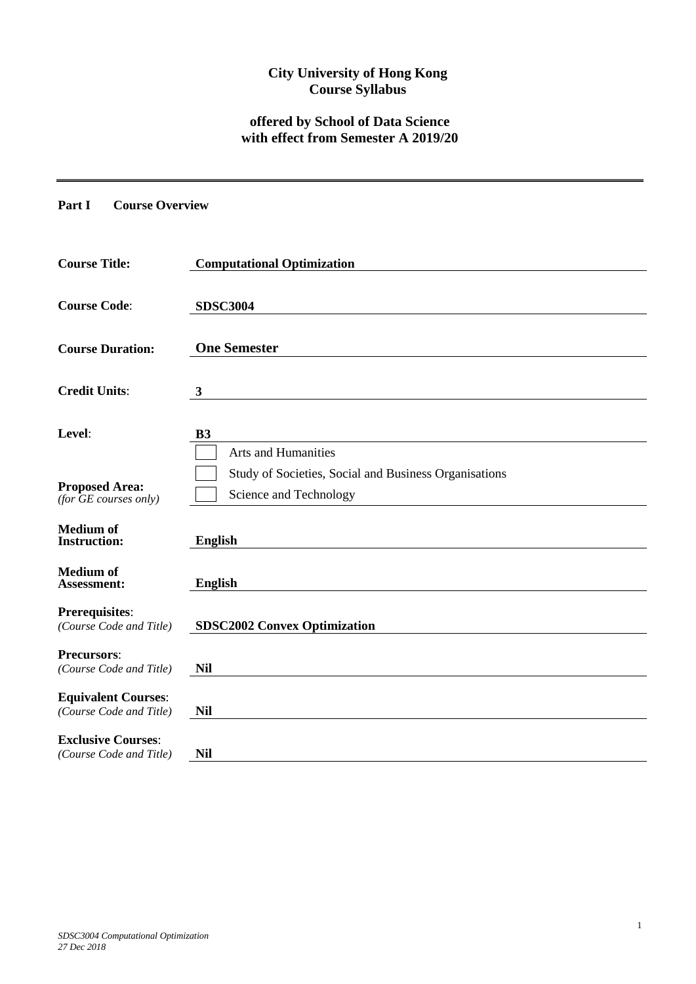# **City University of Hong Kong Course Syllabus**

# **offered by School of Data Science with effect from Semester A 2019/20**

### **Part I Course Overview**

| <b>Course Title:</b>                                  | <b>Computational Optimization</b>                                               |
|-------------------------------------------------------|---------------------------------------------------------------------------------|
| <b>Course Code:</b>                                   | <b>SDSC3004</b>                                                                 |
| <b>Course Duration:</b>                               | <b>One Semester</b>                                                             |
| <b>Credit Units:</b>                                  | 3                                                                               |
| Level:                                                | <b>B3</b><br><b>Arts and Humanities</b>                                         |
| <b>Proposed Area:</b><br>(for GE courses only)        | Study of Societies, Social and Business Organisations<br>Science and Technology |
| <b>Medium</b> of<br><b>Instruction:</b>               | <b>English</b>                                                                  |
| <b>Medium</b> of<br>Assessment:                       | <b>English</b>                                                                  |
| <b>Prerequisites:</b><br>(Course Code and Title)      | <b>SDSC2002 Convex Optimization</b>                                             |
| <b>Precursors:</b><br>(Course Code and Title)         | <b>Nil</b>                                                                      |
| <b>Equivalent Courses:</b><br>(Course Code and Title) | <b>Nil</b>                                                                      |
| <b>Exclusive Courses:</b><br>(Course Code and Title)  | <b>Nil</b>                                                                      |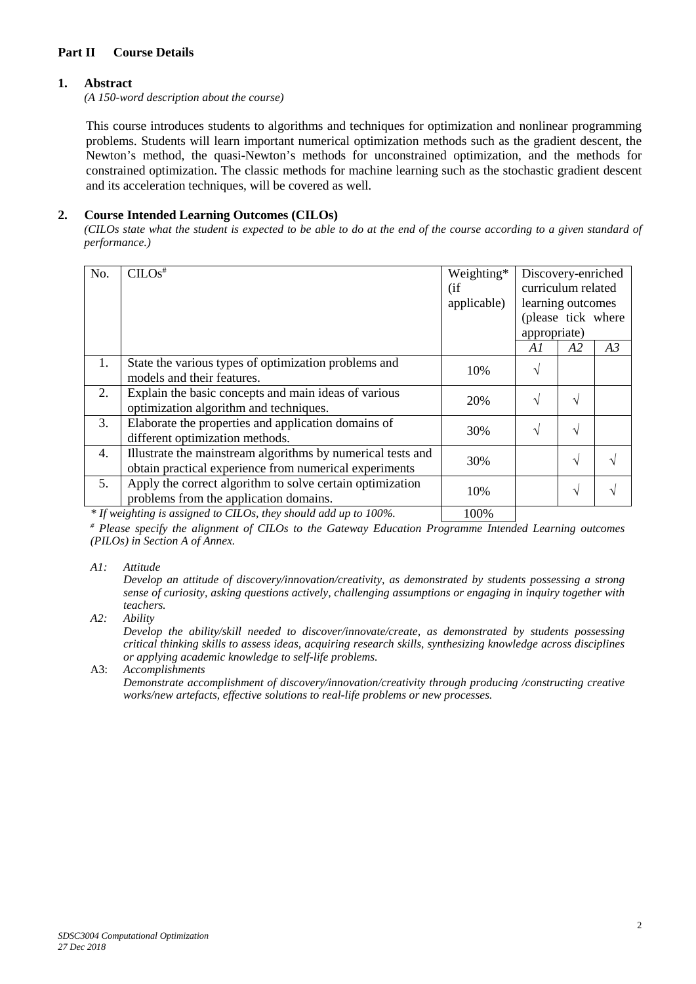### **Part II Course Details**

### **1. Abstract**

*(A 150-word description about the course)*

This course introduces students to algorithms and techniques for optimization and nonlinear programming problems. Students will learn important numerical optimization methods such as the gradient descent, the Newton's method, the quasi-Newton's methods for unconstrained optimization, and the methods for constrained optimization. The classic methods for machine learning such as the stochastic gradient descent and its acceleration techniques, will be covered as well.

### **2. Course Intended Learning Outcomes (CILOs)**

*(CILOs state what the student is expected to be able to do at the end of the course according to a given standard of performance.)*

| No. | $CLOS$ <sup>#</sup>                                                                                                   | Weighting*<br>(i f)<br>applicable) | Discovery-enriched<br>curriculum related<br>learning outcomes<br>(please tick where<br>appropriate) |            |    |
|-----|-----------------------------------------------------------------------------------------------------------------------|------------------------------------|-----------------------------------------------------------------------------------------------------|------------|----|
|     |                                                                                                                       |                                    | A1                                                                                                  | A2         | A3 |
| 1.  | State the various types of optimization problems and<br>models and their features.                                    | 10%                                | $\sqrt{ }$                                                                                          |            |    |
| 2.  | Explain the basic concepts and main ideas of various<br>optimization algorithm and techniques.                        | 20%                                | $\sqrt{ }$                                                                                          | V          |    |
| 3.  | Elaborate the properties and application domains of<br>different optimization methods.                                | 30%                                | $\mathcal{N}$                                                                                       | V          |    |
| 4.  | Illustrate the mainstream algorithms by numerical tests and<br>obtain practical experience from numerical experiments | 30%                                |                                                                                                     | $\sqrt{ }$ |    |
| 5.  | Apply the correct algorithm to solve certain optimization<br>problems from the application domains.                   | 10%                                |                                                                                                     | V          |    |
|     |                                                                                                                       |                                    |                                                                                                     |            |    |

*\* If weighting is assigned to CILOs, they should add up to 100%.* 100%

*# Please specify the alignment of CILOs to the Gateway Education Programme Intended Learning outcomes (PILOs) in Section A of Annex.* 

*A1: Attitude* 

*Develop an attitude of discovery/innovation/creativity, as demonstrated by students possessing a strong sense of curiosity, asking questions actively, challenging assumptions or engaging in inquiry together with teachers.*

*A2: Ability*

*Develop the ability/skill needed to discover/innovate/create, as demonstrated by students possessing critical thinking skills to assess ideas, acquiring research skills, synthesizing knowledge across disciplines or applying academic knowledge to self-life problems.*

### A3: *Accomplishments*

*Demonstrate accomplishment of discovery/innovation/creativity through producing /constructing creative works/new artefacts, effective solutions to real-life problems or new processes.*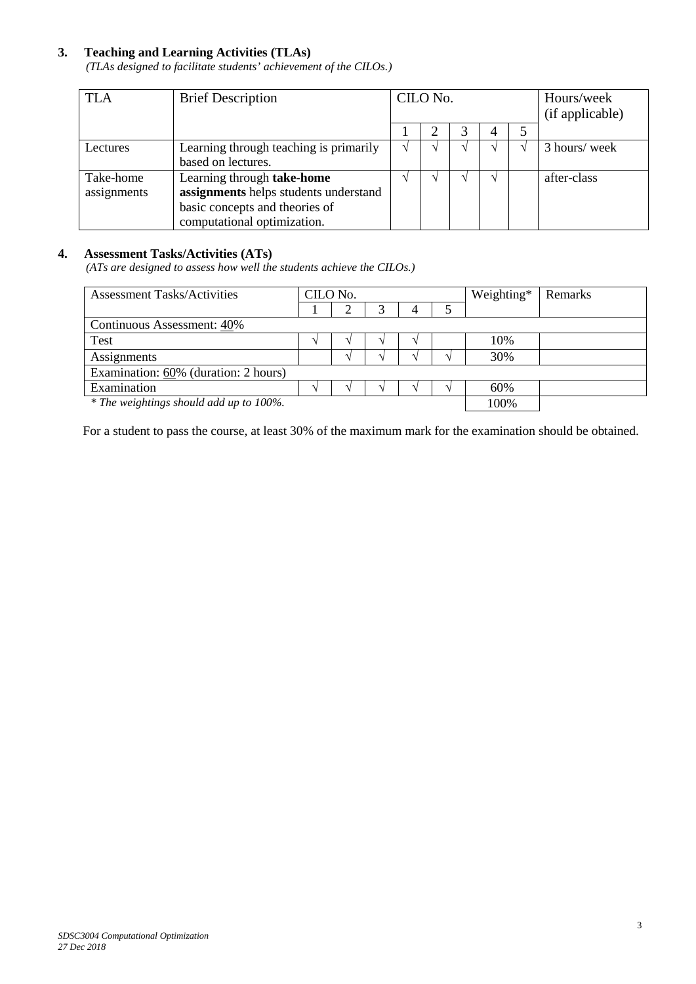### **3. Teaching and Learning Activities (TLAs)**

*(TLAs designed to facilitate students' achievement of the CILOs.)*

| <b>TLA</b>  | <b>Brief Description</b>               | CILO No.          |  |  |   | Hours/week<br>(if applicable) |               |
|-------------|----------------------------------------|-------------------|--|--|---|-------------------------------|---------------|
|             |                                        |                   |  |  | 4 |                               |               |
| Lectures    | Learning through teaching is primarily | $\mathbf{\hat{}}$ |  |  |   |                               | 3 hours/ week |
|             | based on lectures.                     |                   |  |  |   |                               |               |
| Take-home   | Learning through take-home             |                   |  |  |   |                               | after-class   |
| assignments | assignments helps students understand  |                   |  |  |   |                               |               |
|             | basic concepts and theories of         |                   |  |  |   |                               |               |
|             | computational optimization.            |                   |  |  |   |                               |               |

# **4. Assessment Tasks/Activities (ATs)**

*(ATs are designed to assess how well the students achieve the CILOs.)*

| <b>Assessment Tasks/Activities</b>      | CILO No. |  |  |  |  | Weighting* | Remarks |
|-----------------------------------------|----------|--|--|--|--|------------|---------|
|                                         |          |  |  |  |  |            |         |
| Continuous Assessment: 40%              |          |  |  |  |  |            |         |
| <b>Test</b>                             |          |  |  |  |  | 10%        |         |
| Assignments                             |          |  |  |  |  | 30%        |         |
| Examination: 60% (duration: 2 hours)    |          |  |  |  |  |            |         |
| Examination                             |          |  |  |  |  | 60%        |         |
| * The weightings should add up to 100%. |          |  |  |  |  | 100%       |         |

For a student to pass the course, at least 30% of the maximum mark for the examination should be obtained.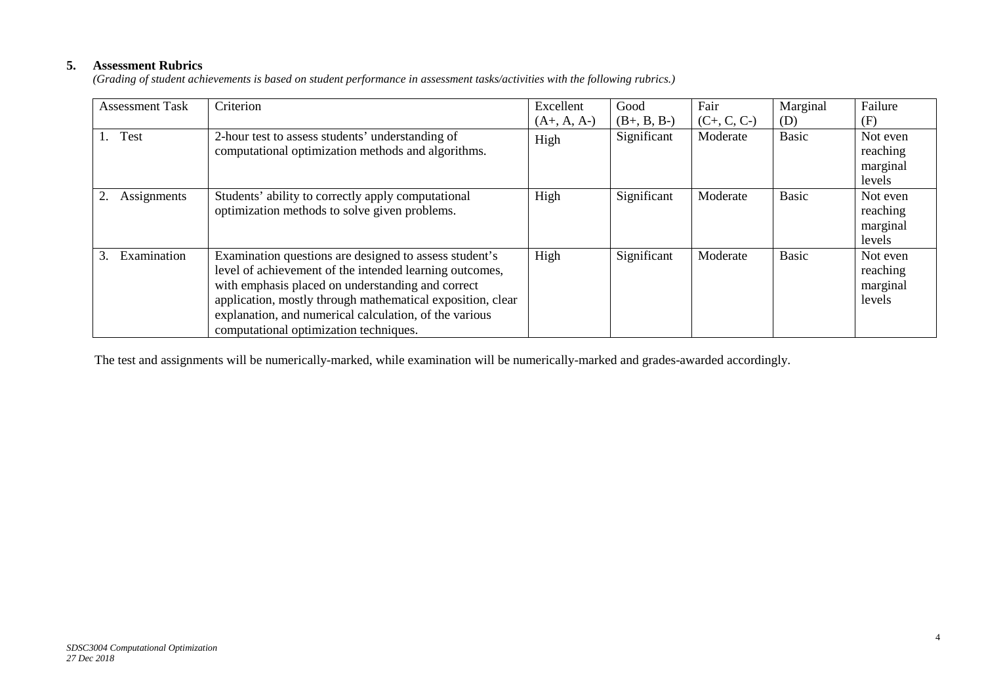# **5. Assessment Rubrics**

*(Grading of student achievements is based on student performance in assessment tasks/activities with the following rubrics.)*

| <b>Assessment Task</b>   | Criterion                                                                                                                                                                                                                                                                                                                                | Excellent     | Good          | Fair          | Marginal     | Failure                                    |
|--------------------------|------------------------------------------------------------------------------------------------------------------------------------------------------------------------------------------------------------------------------------------------------------------------------------------------------------------------------------------|---------------|---------------|---------------|--------------|--------------------------------------------|
|                          |                                                                                                                                                                                                                                                                                                                                          | $(A+, A, A-)$ | $(B+, B, B-)$ | $(C+, C, C-)$ | (D)          | (F)                                        |
| Test<br>$\overline{1}$ . | 2-hour test to assess students' understanding of<br>computational optimization methods and algorithms.                                                                                                                                                                                                                                   | High          | Significant   | Moderate      | Basic        | Not even<br>reaching<br>marginal<br>levels |
| 2.<br>Assignments        | Students' ability to correctly apply computational<br>optimization methods to solve given problems.                                                                                                                                                                                                                                      | High          | Significant   | Moderate      | <b>Basic</b> | Not even<br>reaching<br>marginal<br>levels |
| Examination              | Examination questions are designed to assess student's<br>level of achievement of the intended learning outcomes,<br>with emphasis placed on understanding and correct<br>application, mostly through mathematical exposition, clear<br>explanation, and numerical calculation, of the various<br>computational optimization techniques. | High          | Significant   | Moderate      | Basic        | Not even<br>reaching<br>marginal<br>levels |

The test and assignments will be numerically-marked, while examination will be numerically-marked and grades-awarded accordingly.